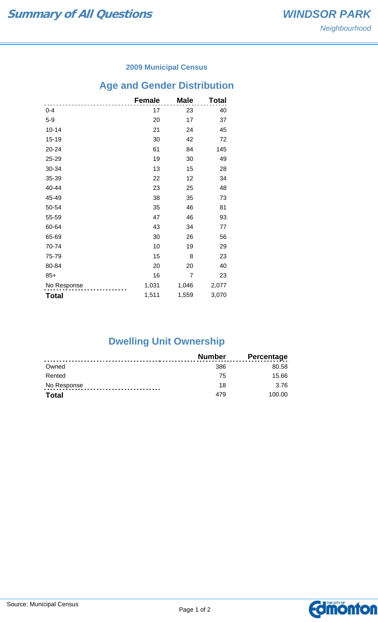### **2009 Municipal Census**

## **Age and Gender Distribution**

|              | <b>Female</b> | <b>Male</b> | Total |
|--------------|---------------|-------------|-------|
| $0 - 4$      | 17            | 23          | 40    |
| $5-9$        | 20            | 17          | 37    |
| $10 - 14$    | 21            | 24          | 45    |
| 15-19        | 30            | 42          | 72    |
| 20-24        | 61            | 84          | 145   |
| 25-29        | 19            | 30          | 49    |
| 30-34        | 13            | 15          | 28    |
| 35-39        | 22            | 12          | 34    |
| 40-44        | 23            | 25          | 48    |
| 45-49        | 38            | 35          | 73    |
| 50-54        | 35            | 46          | 81    |
| 55-59        | 47            | 46          | 93    |
| 60-64        | 43            | 34          | 77    |
| 65-69        | 30            | 26          | 56    |
| 70-74        | 10            | 19          | 29    |
| 75-79        | 15            | 8           | 23    |
| 80-84        | 20            | 20          | 40    |
| $85+$        | 16            | 7           | 23    |
| No Response  | 1,031         | 1,046       | 2,077 |
| <b>Total</b> | 1,511         | 1,559       | 3,070 |

# **Dwelling Unit Ownership**

|              | Number | <b>Percentage</b> |
|--------------|--------|-------------------|
| Owned        | 386    | 80.58             |
| Rented       | 75     | 15.66             |
| No Response  | 18     | 3.76              |
| <b>Total</b> | 479    | 100.00            |